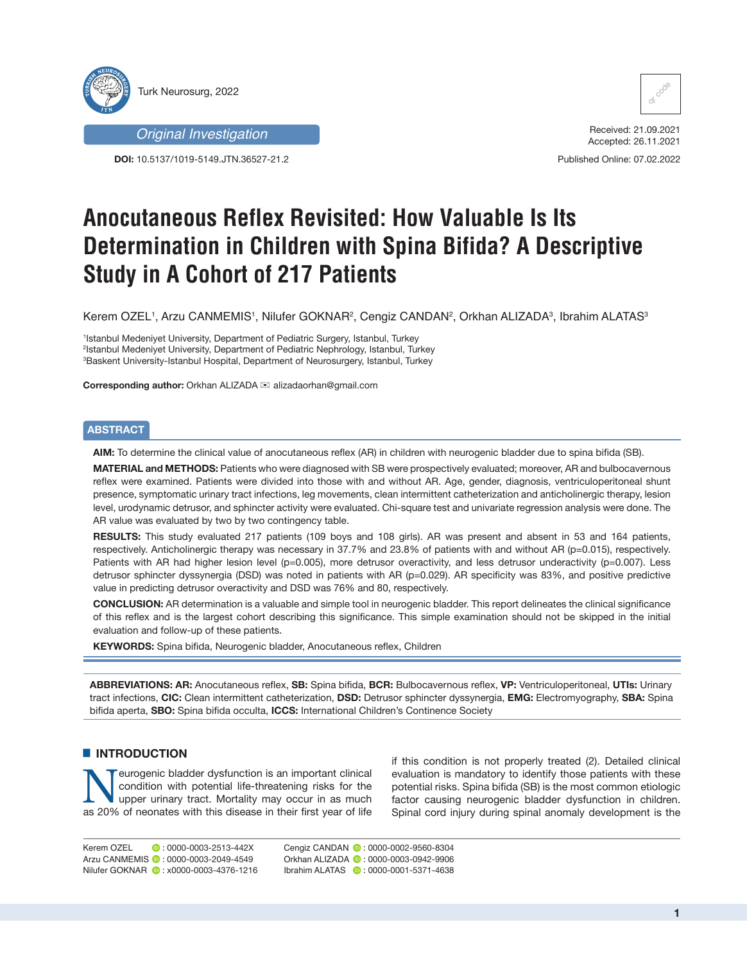



**DOI:** 10.5137/1019-5149.JTN.36527-21.2



Received: 21.09.2021 Accepted: 26.11.2021

Published Online: 07.02.2022

# **Anocutaneous Reflex Revisited: How Valuable Is Its Determination in Children with Spina Bifida? A Descriptive Study in A Cohort of 217 Patients**

Kerem OZEL', Arzu CANMEMIS', Nilufer GOKNAR², Cengiz CANDAN², Orkhan ALIZADA<sup>3</sup>, Ibrahim ALATAS<sup>3</sup>

1 Istanbul Medeniyet University, Department of Pediatric Surgery, Istanbul, Turkey 2 Istanbul Medeniyet University, Department of Pediatric Nephrology, Istanbul, Turkey 3 Baskent University-Istanbul Hospital, Department of Neurosurgery, Istanbul, Turkey

**Corresponding author: Orkhan ALIZADA <sub>i</sub> alizadaorhan@gmail.com** 

### **ABSTRACT**

**AIM:** To determine the clinical value of anocutaneous reflex (AR) in children with neurogenic bladder due to spina bifida (SB).

**MATERIAL and METHODS:** Patients who were diagnosed with SB were prospectively evaluated; moreover, AR and bulbocavernous reflex were examined. Patients were divided into those with and without AR. Age, gender, diagnosis, ventriculoperitoneal shunt presence, symptomatic urinary tract infections, leg movements, clean intermittent catheterization and anticholinergic therapy, lesion level, urodynamic detrusor, and sphincter activity were evaluated. Chi-square test and univariate regression analysis were done. The AR value was evaluated by two by two contingency table.

**RESULTS:** This study evaluated 217 patients (109 boys and 108 girls). AR was present and absent in 53 and 164 patients, respectively. Anticholinergic therapy was necessary in 37.7% and 23.8% of patients with and without AR (p=0.015), respectively. Patients with AR had higher lesion level (p=0.005), more detrusor overactivity, and less detrusor underactivity (p=0.007). Less detrusor sphincter dyssynergia (DSD) was noted in patients with AR (p=0.029). AR specificity was 83%, and positive predictive value in predicting detrusor overactivity and DSD was 76% and 80, respectively.

**CONCLUSION:** AR determination is a valuable and simple tool in neurogenic bladder. This report delineates the clinical significance of this reflex and is the largest cohort describing this significance. This simple examination should not be skipped in the initial evaluation and follow-up of these patients.

**KEYWORDS:** Spina bifida, Neurogenic bladder, Anocutaneous reflex, Children

**ABBREVIATIONS: AR:** Anocutaneous reflex, **SB:** Spina bifida, **BCR:** Bulbocavernous reflex, **VP:** Ventriculoperitoneal, **UTIs:** Urinary tract infections, **CIC:** Clean intermittent catheterization, **DSD:** Detrusor sphincter dyssynergia, **EMG:** Electromyography, **SBA:** Spina bifida aperta, **SBO:** Spina bifida occulta, **ICCS:** International Children's Continence Society

### $\blacksquare$  **INTRODUCTION**

Neurogenic bladder dysfunction is an important clinical<br>condition with potential life-threatening risks for the<br>upper urinary tract. Mortality may occur in as much<br>as 20% of peopates with this disease in their first vear o condition with potential life-threatening risks for the as 20% of neonates with this disease in their first year of life if this condition is not properly treated (2). Detailed clinical evaluation is mandatory to identify those patients with these potential risks. Spina bifida (SB) is the most common etiologic factor causing neurogenic bladder dysfunction in children. Spinal cord injury during spinal anomaly development is the

Kerem OZEL **: 0000-0003-2513-442X** Arzu CANMEMIS <sup>1</sup>: 0000-0003-2049-4549 Nilufer GOKNAR (D: x0000-0003-4376-1216) Cengiz CANDAN **@** : 0000-0002-9560-8304 Orkhan ALIZADA **:** 0000-0003-0942-9906 Ibrahim ALATAS **:** 0000-0001-5371-4638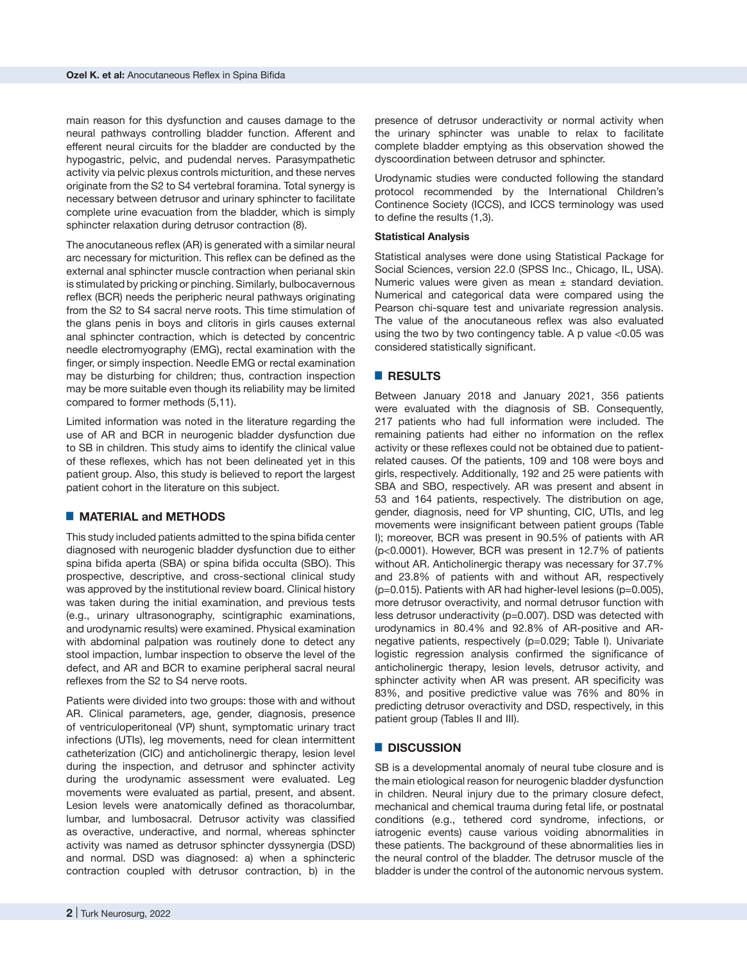main reason for this dysfunction and causes damage to the neural pathways controlling bladder function. Afferent and efferent neural circuits for the bladder are conducted by the hypogastric, pelvic, and pudendal nerves. Parasympathetic activity via pelvic plexus controls micturition, and these nerves originate from the S2 to S4 vertebral foramina. Total synergy is necessary between detrusor and urinary sphincter to facilitate complete urine evacuation from the bladder, which is simply sphincter relaxation during detrusor contraction (8).

The anocutaneous reflex (AR) is generated with a similar neural arc necessary for micturition. This reflex can be defined as the external anal sphincter muscle contraction when perianal skin is stimulated by pricking or pinching. Similarly, bulbocavernous reflex (BCR) needs the peripheric neural pathways originating from the S2 to S4 sacral nerve roots. This time stimulation of the glans penis in boys and clitoris in girls causes external anal sphincter contraction, which is detected by concentric needle electromyography (EMG), rectal examination with the finger, or simply inspection. Needle EMG or rectal examination may be disturbing for children; thus, contraction inspection may be more suitable even though its reliability may be limited compared to former methods (5,11).

Limited information was noted in the literature regarding the use of AR and BCR in neurogenic bladder dysfunction due to SB in children. This study aims to identify the clinical value of these reflexes, which has not been delineated yet in this patient group. Also, this study is believed to report the largest patient cohort in the literature on this subject.

#### █ **MATERIAL and METHODS**

This study included patients admitted to the spina bifida center diagnosed with neurogenic bladder dysfunction due to either spina bifida aperta (SBA) or spina bifida occulta (SBO). This prospective, descriptive, and cross-sectional clinical study was approved by the institutional review board. Clinical history was taken during the initial examination, and previous tests (e.g., urinary ultrasonography, scintigraphic examinations, and urodynamic results) were examined. Physical examination with abdominal palpation was routinely done to detect any stool impaction, lumbar inspection to observe the level of the defect, and AR and BCR to examine peripheral sacral neural reflexes from the S2 to S4 nerve roots.

Patients were divided into two groups: those with and without AR. Clinical parameters, age, gender, diagnosis, presence of ventriculoperitoneal (VP) shunt, symptomatic urinary tract infections (UTIs), leg movements, need for clean intermittent catheterization (CIC) and anticholinergic therapy, lesion level during the inspection, and detrusor and sphincter activity during the urodynamic assessment were evaluated. Leg movements were evaluated as partial, present, and absent. Lesion levels were anatomically defined as thoracolumbar, lumbar, and lumbosacral. Detrusor activity was classified as overactive, underactive, and normal, whereas sphincter activity was named as detrusor sphincter dyssynergia (DSD) and normal. DSD was diagnosed: a) when a sphincteric contraction coupled with detrusor contraction, b) in the

presence of detrusor underactivity or normal activity when the urinary sphincter was unable to relax to facilitate complete bladder emptying as this observation showed the dyscoordination between detrusor and sphincter.

Urodynamic studies were conducted following the standard protocol recommended by the International Children's Continence Society (ICCS), and ICCS terminology was used to define the results (1,3).

#### **Statistical Analysis**

Statistical analyses were done using Statistical Package for Social Sciences, version 22.0 (SPSS Inc., Chicago, IL, USA). Numeric values were given as mean  $\pm$  standard deviation. Numerical and categorical data were compared using the Pearson chi-square test and univariate regression analysis. The value of the anocutaneous reflex was also evaluated using the two by two contingency table. A p value <0.05 was considered statistically significant.

#### █ **RESULTS**

Between January 2018 and January 2021, 356 patients were evaluated with the diagnosis of SB. Consequently, 217 patients who had full information were included. The remaining patients had either no information on the reflex activity or these reflexes could not be obtained due to patientrelated causes. Of the patients, 109 and 108 were boys and girls, respectively. Additionally, 192 and 25 were patients with SBA and SBO, respectively. AR was present and absent in 53 and 164 patients, respectively. The distribution on age, gender, diagnosis, need for VP shunting, CIC, UTIs, and leg movements were insignificant between patient groups (Table I); moreover, BCR was present in 90.5% of patients with AR (p<0.0001). However, BCR was present in 12.7% of patients without AR. Anticholinergic therapy was necessary for 37.7% and 23.8% of patients with and without AR, respectively (p=0.015). Patients with AR had higher-level lesions (p=0.005), more detrusor overactivity, and normal detrusor function with less detrusor underactivity (p=0.007). DSD was detected with urodynamics in 80.4% and 92.8% of AR-positive and ARnegative patients, respectively (p=0.029; Table I). Univariate logistic regression analysis confirmed the significance of anticholinergic therapy, lesion levels, detrusor activity, and sphincter activity when AR was present. AR specificity was 83%, and positive predictive value was 76% and 80% in predicting detrusor overactivity and DSD, respectively, in this patient group (Tables II and III).

#### █ **DISCUSSION**

SB is a developmental anomaly of neural tube closure and is the main etiological reason for neurogenic bladder dysfunction in children. Neural injury due to the primary closure defect, mechanical and chemical trauma during fetal life, or postnatal conditions (e.g., tethered cord syndrome, infections, or iatrogenic events) cause various voiding abnormalities in these patients. The background of these abnormalities lies in the neural control of the bladder. The detrusor muscle of the bladder is under the control of the autonomic nervous system.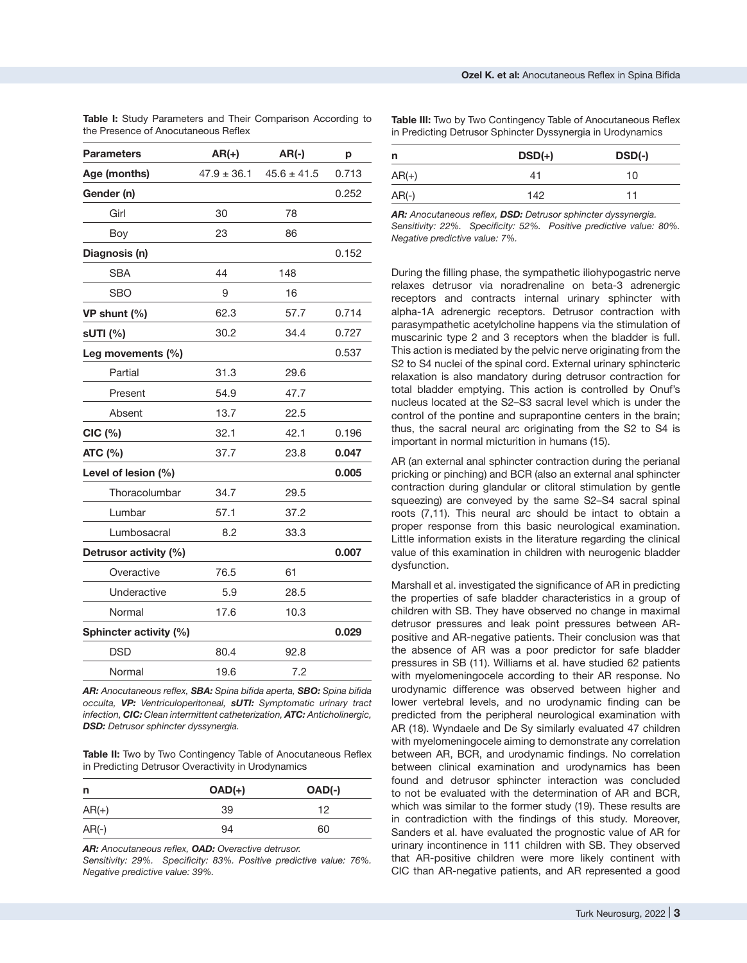| <b>Parameters</b>      | $AR(+)$         | $AR(-)$         | р     |
|------------------------|-----------------|-----------------|-------|
| Age (months)           | $47.9 \pm 36.1$ | $45.6 \pm 41.5$ | 0.713 |
| Gender (n)             |                 |                 | 0.252 |
| Girl                   | 30              | 78              |       |
| Boy                    | 23              | 86              |       |
| Diagnosis (n)          |                 |                 | 0.152 |
| <b>SBA</b>             | 44              | 148             |       |
| SBO                    | 9               | 16              |       |
| VP shunt (%)           | 62.3            | 57.7            | 0.714 |
| sUTI (%)               | 30.2            | 34.4            | 0.727 |
| Leg movements (%)      |                 |                 | 0.537 |
| Partial                | 31.3            | 29.6            |       |
| Present                | 54.9            | 47.7            |       |
| Absent                 | 13.7            | 22.5            |       |
| $CIC$ $(\%)$           | 32.1            | 42.1            | 0.196 |
| ATC (%)                | 37.7            | 23.8            | 0.047 |
| Level of lesion (%)    |                 |                 | 0.005 |
| Thoracolumbar          | 34.7            | 29.5            |       |
| Lumbar                 | 57.1            | 37.2            |       |
| Lumbosacral            | 8.2             | 33.3            |       |
| Detrusor activity (%)  |                 |                 | 0.007 |
| Overactive             | 76.5            | 61              |       |
| Underactive            | 5.9             | 28.5            |       |
| Normal                 | 17.6            | 10.3            |       |
| Sphincter activity (%) |                 |                 | 0.029 |
| <b>DSD</b>             | 80.4            | 92.8            |       |
| Normal                 | 19.6            | 7.2             |       |

**Table I:** Study Parameters and Their Comparison According to the Presence of Anocutaneous Reflex

**Table III:** Two by Two Contingency Table of Anocutaneous Reflex in Predicting Detrusor Sphincter Dyssynergia in Urodynamics

| n       | $DSD(+)$ | $DSD(-)$ |
|---------|----------|----------|
| $AR(+)$ | 41       | 10       |
| $AR(-)$ | 142      | 11       |

*AR: Anocutaneous reflex, DSD: Detrusor sphincter dyssynergia. Sensitivity: 22%. Specificity: 52%. Positive predictive value: 80%. Negative predictive value: 7%.*

During the filling phase, the sympathetic iliohypogastric nerve relaxes detrusor via noradrenaline on beta-3 adrenergic receptors and contracts internal urinary sphincter with alpha-1A adrenergic receptors. Detrusor contraction with parasympathetic acetylcholine happens via the stimulation of muscarinic type 2 and 3 receptors when the bladder is full. This action is mediated by the pelvic nerve originating from the S2 to S4 nuclei of the spinal cord. External urinary sphincteric relaxation is also mandatory during detrusor contraction for total bladder emptying. This action is controlled by Onuf's nucleus located at the S2–S3 sacral level which is under the control of the pontine and suprapontine centers in the brain; thus, the sacral neural arc originating from the S2 to S4 is important in normal micturition in humans (15).

AR (an external anal sphincter contraction during the perianal pricking or pinching) and BCR (also an external anal sphincter contraction during glandular or clitoral stimulation by gentle squeezing) are conveyed by the same S2–S4 sacral spinal roots (7,11). This neural arc should be intact to obtain a proper response from this basic neurological examination. Little information exists in the literature regarding the clinical value of this examination in children with neurogenic bladder dysfunction.

Marshall et al. investigated the significance of AR in predicting the properties of safe bladder characteristics in a group of children with SB. They have observed no change in maximal detrusor pressures and leak point pressures between ARpositive and AR-negative patients. Their conclusion was that the absence of AR was a poor predictor for safe bladder pressures in SB (11). Williams et al. have studied 62 patients with myelomeningocele according to their AR response. No urodynamic difference was observed between higher and lower vertebral levels, and no urodynamic finding can be predicted from the peripheral neurological examination with AR (18). Wyndaele and De Sy similarly evaluated 47 children with myelomeningocele aiming to demonstrate any correlation between AR, BCR, and urodynamic findings. No correlation between clinical examination and urodynamics has been found and detrusor sphincter interaction was concluded to not be evaluated with the determination of AR and BCR, which was similar to the former study (19). These results are in contradiction with the findings of this study. Moreover, Sanders et al. have evaluated the prognostic value of AR for urinary incontinence in 111 children with SB. They observed that AR-positive children were more likely continent with CIC than AR-negative patients, and AR represented a good

*AR: Anocutaneous reflex, SBA: Spina bifida aperta, SBO: Spina bifida occulta, VP: Ventriculoperitoneal, sUTI: Symptomatic urinary tract infection, CIC: Clean intermittent catheterization, ATC: Anticholinergic, DSD: Detrusor sphincter dyssynergia.*

**Table II:** Two by Two Contingency Table of Anocutaneous Reflex in Predicting Detrusor Overactivity in Urodynamics

| n       | $OAD(+)$ | $OAD(-)$ |
|---------|----------|----------|
| $AR(+)$ | 39       | 12       |
| $AR(-)$ | 94       | 60       |

*AR: Anocutaneous reflex, OAD: Overactive detrusor.*

*Sensitivity: 29%. Specificity: 83%. Positive predictive value: 76%. Negative predictive value: 39%.*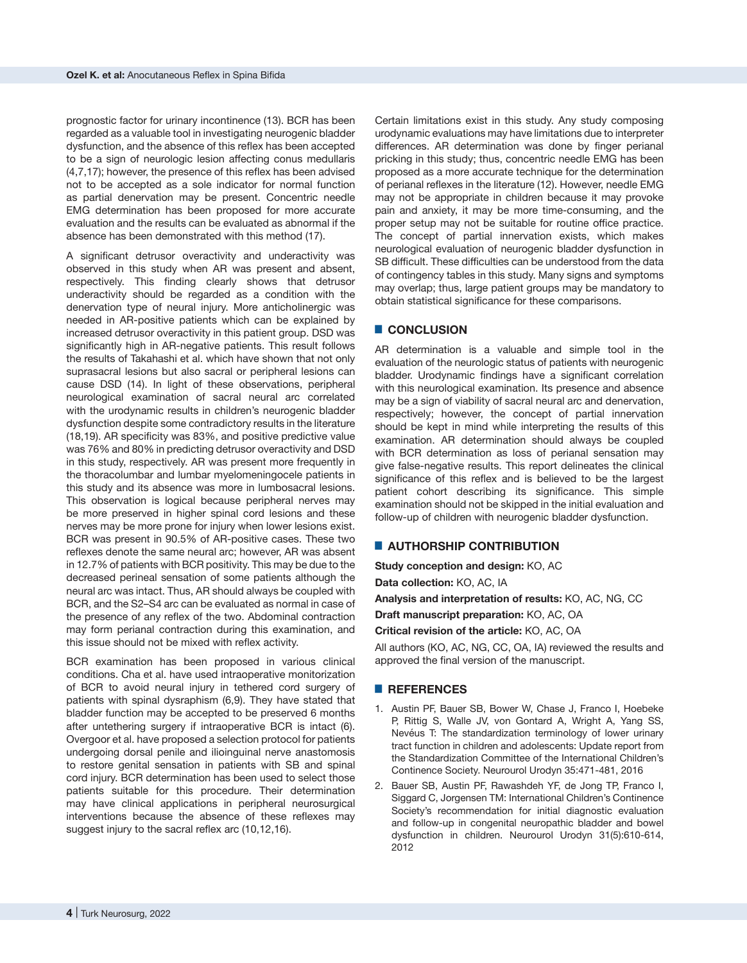prognostic factor for urinary incontinence (13). BCR has been regarded as a valuable tool in investigating neurogenic bladder dysfunction, and the absence of this reflex has been accepted to be a sign of neurologic lesion affecting conus medullaris (4,7,17); however, the presence of this reflex has been advised not to be accepted as a sole indicator for normal function as partial denervation may be present. Concentric needle EMG determination has been proposed for more accurate evaluation and the results can be evaluated as abnormal if the absence has been demonstrated with this method (17).

A significant detrusor overactivity and underactivity was observed in this study when AR was present and absent, respectively. This finding clearly shows that detrusor underactivity should be regarded as a condition with the denervation type of neural injury. More anticholinergic was needed in AR-positive patients which can be explained by increased detrusor overactivity in this patient group. DSD was significantly high in AR-negative patients. This result follows the results of Takahashi et al. which have shown that not only suprasacral lesions but also sacral or peripheral lesions can cause DSD (14). In light of these observations, peripheral neurological examination of sacral neural arc correlated with the urodynamic results in children's neurogenic bladder dysfunction despite some contradictory results in the literature (18,19). AR specificity was 83%, and positive predictive value was 76% and 80% in predicting detrusor overactivity and DSD in this study, respectively. AR was present more frequently in the thoracolumbar and lumbar myelomeningocele patients in this study and its absence was more in lumbosacral lesions. This observation is logical because peripheral nerves may be more preserved in higher spinal cord lesions and these nerves may be more prone for injury when lower lesions exist. BCR was present in 90.5% of AR-positive cases. These two reflexes denote the same neural arc; however, AR was absent in 12.7% of patients with BCR positivity. This may be due to the decreased perineal sensation of some patients although the neural arc was intact. Thus, AR should always be coupled with BCR, and the S2–S4 arc can be evaluated as normal in case of the presence of any reflex of the two. Abdominal contraction may form perianal contraction during this examination, and this issue should not be mixed with reflex activity.

BCR examination has been proposed in various clinical conditions. Cha et al. have used intraoperative monitorization of BCR to avoid neural injury in tethered cord surgery of patients with spinal dysraphism (6,9). They have stated that bladder function may be accepted to be preserved 6 months after untethering surgery if intraoperative BCR is intact (6). Overgoor et al. have proposed a selection protocol for patients undergoing dorsal penile and ilioinguinal nerve anastomosis to restore genital sensation in patients with SB and spinal cord injury. BCR determination has been used to select those patients suitable for this procedure. Their determination may have clinical applications in peripheral neurosurgical interventions because the absence of these reflexes may suggest injury to the sacral reflex arc (10,12,16).

Certain limitations exist in this study. Any study composing urodynamic evaluations may have limitations due to interpreter differences. AR determination was done by finger perianal pricking in this study; thus, concentric needle EMG has been proposed as a more accurate technique for the determination of perianal reflexes in the literature (12). However, needle EMG may not be appropriate in children because it may provoke pain and anxiety, it may be more time-consuming, and the proper setup may not be suitable for routine office practice. The concept of partial innervation exists, which makes neurological evaluation of neurogenic bladder dysfunction in SB difficult. These difficulties can be understood from the data of contingency tables in this study. Many signs and symptoms may overlap; thus, large patient groups may be mandatory to obtain statistical significance for these comparisons.

## █ **CONCLUSION**

AR determination is a valuable and simple tool in the evaluation of the neurologic status of patients with neurogenic bladder. Urodynamic findings have a significant correlation with this neurological examination. Its presence and absence may be a sign of viability of sacral neural arc and denervation, respectively; however, the concept of partial innervation should be kept in mind while interpreting the results of this examination. AR determination should always be coupled with BCR determination as loss of perianal sensation may give false-negative results. This report delineates the clinical significance of this reflex and is believed to be the largest patient cohort describing its significance. This simple examination should not be skipped in the initial evaluation and follow-up of children with neurogenic bladder dysfunction.

#### █ **AUTHORSHIP CONTRIBUTION**

**Study conception and design:** KO, AC

**Data collection:** KO, AC, IA

**Analysis and interpretation of results:** KO, AC, NG, CC

**Draft manuscript preparation:** KO, AC, OA

**Critical revision of the article:** KO, AC, OA

All authors (KO, AC, NG, CC, OA, IA) reviewed the results and approved the final version of the manuscript.

#### █ **REFERENCES**

- 1. Austin PF, Bauer SB, Bower W, Chase J, Franco I, Hoebeke P, Rittig S, Walle JV, von Gontard A, Wright A, Yang SS, Nevéus T: The standardization terminology of lower urinary tract function in children and adolescents: Update report from the Standardization Committee of the International Children's Continence Society. Neurourol Urodyn 35:471-481, 2016
- 2. Bauer SB, Austin PF, Rawashdeh YF, de Jong TP, Franco I, Siggard C, Jorgensen TM: International Children's Continence Society's recommendation for initial diagnostic evaluation and follow-up in congenital neuropathic bladder and bowel dysfunction in children. Neurourol Urodyn 31(5):610-614, 2012